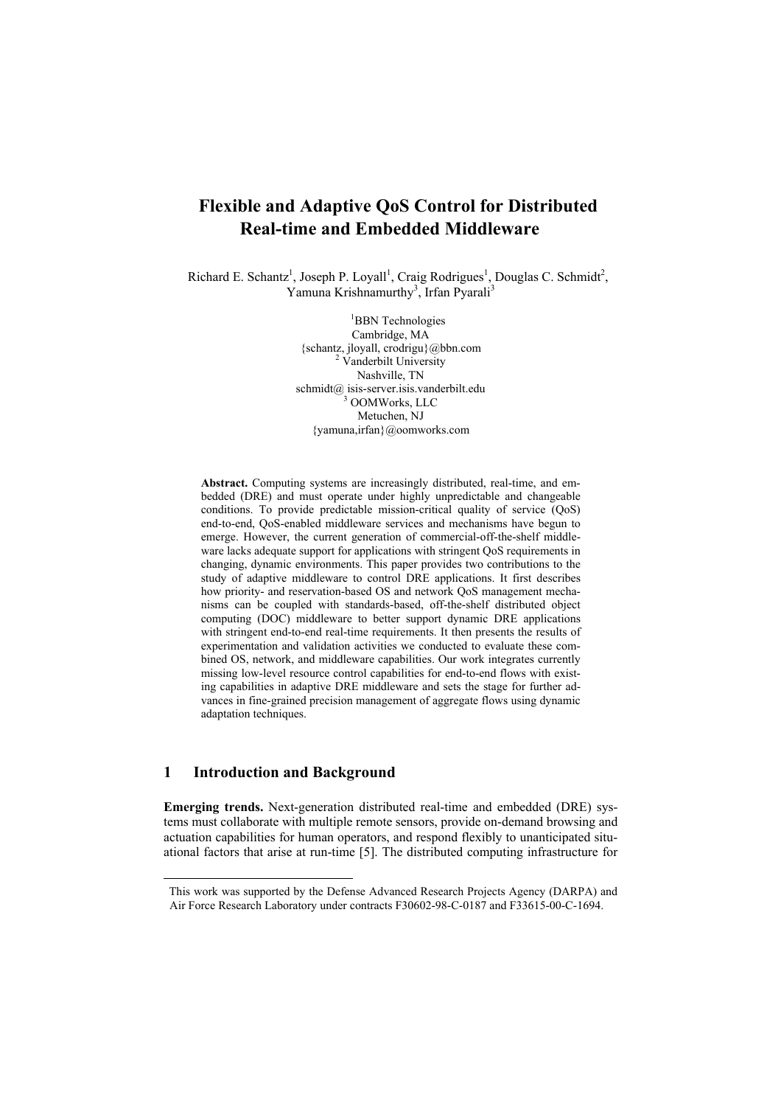# **Flexible and Adaptive QoS Control for Distributed Real-time and Embedded Middlewar[e](#page-0-0)**

Richard E. Schantz<sup>1</sup>, Joseph P. Loyall<sup>1</sup>, Craig Rodrigues<sup>1</sup>, Douglas C. Schmidt<sup>2</sup>, Yamuna Krishnamurthy<sup>3</sup>, Irfan Pyarali<sup>3</sup>

> <sup>1</sup>BBN Technologies Cambridge, MA {schantz, jloyall, crodrigu}@bbn.com 2 Vanderbilt University Nashville, TN schmidt@ isis-server.isis.vanderbilt.edu 3 OOMWorks, LLC Metuchen, NJ {yamuna,irfan}@oomworks.com

**Abstract.** Computing systems are increasingly distributed, real-time, and embedded (DRE) and must operate under highly unpredictable and changeable conditions. To provide predictable mission-critical quality of service (QoS) end-to-end, QoS-enabled middleware services and mechanisms have begun to emerge. However, the current generation of commercial-off-the-shelf middleware lacks adequate support for applications with stringent QoS requirements in changing, dynamic environments. This paper provides two contributions to the study of adaptive middleware to control DRE applications. It first describes how priority- and reservation-based OS and network QoS management mechanisms can be coupled with standards-based, off-the-shelf distributed object computing (DOC) middleware to better support dynamic DRE applications with stringent end-to-end real-time requirements. It then presents the results of experimentation and validation activities we conducted to evaluate these combined OS, network, and middleware capabilities. Our work integrates currently missing low-level resource control capabilities for end-to-end flows with existing capabilities in adaptive DRE middleware and sets the stage for further advances in fine-grained precision management of aggregate flows using dynamic adaptation techniques.

# **1 Introduction and Background**

l

**Emerging trends.** Next-generation distributed real-time and embedded (DRE) systems must collaborate with multiple remote sensors, provide on-demand browsing and actuation capabilities for human operators, and respond flexibly to unanticipated situational factors that arise at run-time [5]. The distributed computing infrastructure for

<span id="page-0-0"></span>This work was supported by the Defense Advanced Research Projects Agency (DARPA) and Air Force Research Laboratory under contracts F30602-98-C-0187 and F33615-00-C-1694.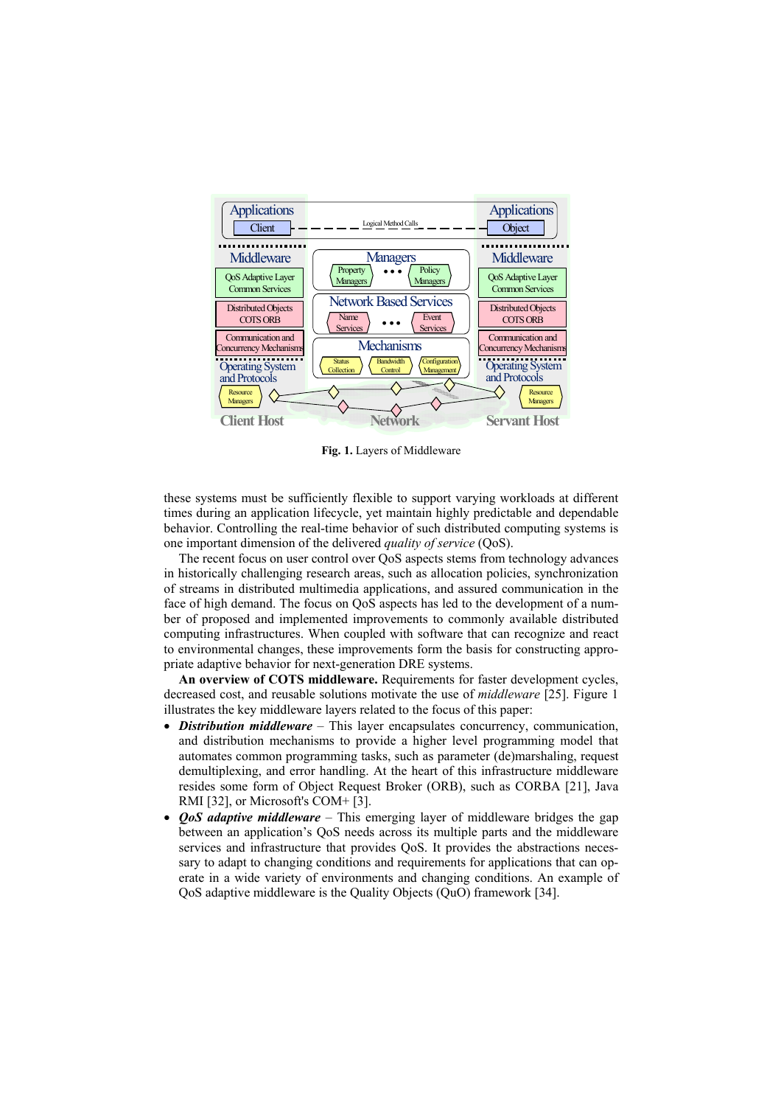

**Fig. 1.** Layers of Middleware

these systems must be sufficiently flexible to support varying workloads at different times during an application lifecycle, yet maintain highly predictable and dependable behavior. Controlling the real-time behavior of such distributed computing systems is one important dimension of the delivered *quality of service* (QoS).

The recent focus on user control over QoS aspects stems from technology advances in historically challenging research areas, such as allocation policies, synchronization of streams in distributed multimedia applications, and assured communication in the face of high demand. The focus on QoS aspects has led to the development of a number of proposed and implemented improvements to commonly available distributed computing infrastructures. When coupled with software that can recognize and react to environmental changes, these improvements form the basis for constructing appropriate adaptive behavior for next-generation DRE systems.

**An overview of COTS middleware.** Requirements for faster development cycles, decreased cost, and reusable solutions motivate the use of *middleware* [25]. Figure 1 illustrates the key middleware layers related to the focus of this paper:

- *Distribution middleware* This layer encapsulates concurrency, communication, and distribution mechanisms to provide a higher level programming model that automates common programming tasks, such as parameter (de)marshaling, request demultiplexing, and error handling. At the heart of this infrastructure middleware resides some form of Object Request Broker (ORB), such as CORBA [21], Java RMI [32], or Microsoft's COM+ [3].
- *QoS adaptive middleware* This emerging layer of middleware bridges the gap between an application's QoS needs across its multiple parts and the middleware services and infrastructure that provides QoS. It provides the abstractions necessary to adapt to changing conditions and requirements for applications that can operate in a wide variety of environments and changing conditions. An example of QoS adaptive middleware is the Quality Objects (QuO) framework [34].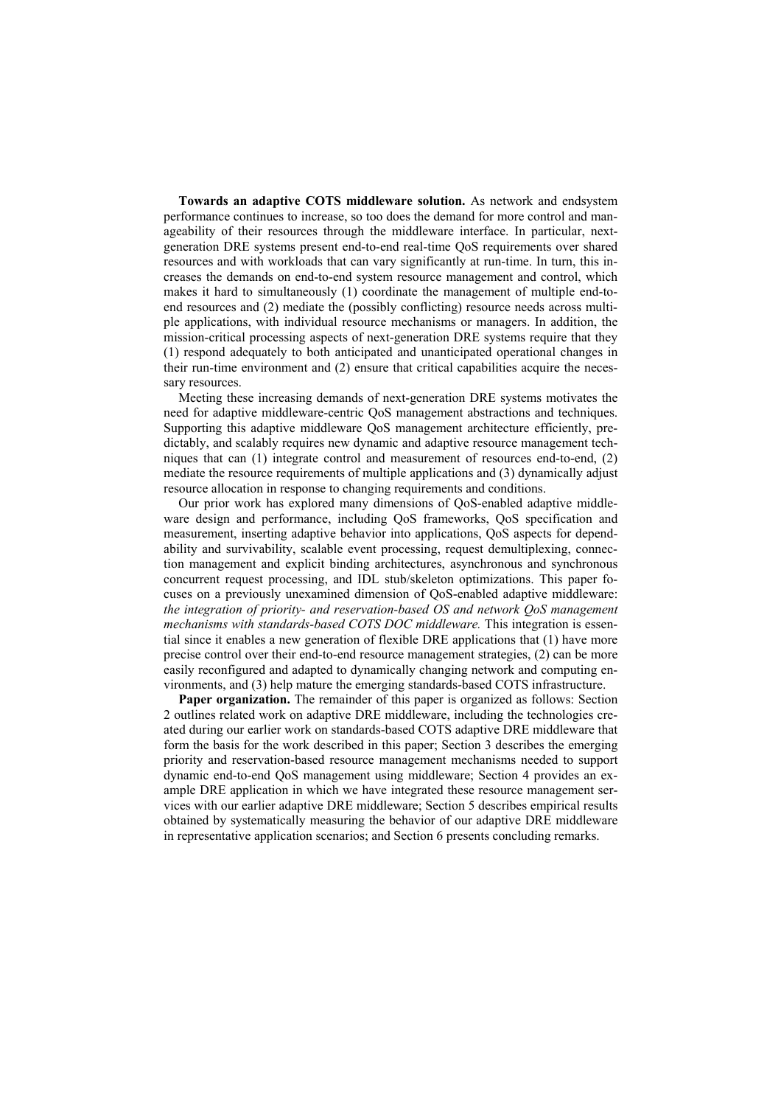**Towards an adaptive COTS middleware solution.** As network and endsystem performance continues to increase, so too does the demand for more control and manageability of their resources through the middleware interface. In particular, nextgeneration DRE systems present end-to-end real-time QoS requirements over shared resources and with workloads that can vary significantly at run-time. In turn, this increases the demands on end-to-end system resource management and control, which makes it hard to simultaneously (1) coordinate the management of multiple end-toend resources and (2) mediate the (possibly conflicting) resource needs across multiple applications, with individual resource mechanisms or managers. In addition, the mission-critical processing aspects of next-generation DRE systems require that they (1) respond adequately to both anticipated and unanticipated operational changes in their run-time environment and (2) ensure that critical capabilities acquire the necessary resources.

Meeting these increasing demands of next-generation DRE systems motivates the need for adaptive middleware-centric QoS management abstractions and techniques. Supporting this adaptive middleware QoS management architecture efficiently, predictably, and scalably requires new dynamic and adaptive resource management techniques that can (1) integrate control and measurement of resources end-to-end, (2) mediate the resource requirements of multiple applications and (3) dynamically adjust resource allocation in response to changing requirements and conditions.

Our prior work has explored many dimensions of QoS-enabled adaptive middleware design and performance, including QoS frameworks, QoS specification and measurement, inserting adaptive behavior into applications, QoS aspects for dependability and survivability, scalable event processing, request demultiplexing, connection management and explicit binding architectures, asynchronous and synchronous concurrent request processing, and IDL stub/skeleton optimizations. This paper focuses on a previously unexamined dimension of QoS-enabled adaptive middleware: *the integration of priority- and reservation-based OS and network QoS management mechanisms with standards-based COTS DOC middleware.* This integration is essential since it enables a new generation of flexible DRE applications that (1) have more precise control over their end-to-end resource management strategies, (2) can be more easily reconfigured and adapted to dynamically changing network and computing environments, and (3) help mature the emerging standards-based COTS infrastructure.

**Paper organization.** The remainder of this paper is organized as follows: Section 2 outlines related work on adaptive DRE middleware, including the technologies created during our earlier work on standards-based COTS adaptive DRE middleware that form the basis for the work described in this paper; Section 3 describes the emerging priority and reservation-based resource management mechanisms needed to support dynamic end-to-end QoS management using middleware; Section 4 provides an example DRE application in which we have integrated these resource management services with our earlier adaptive DRE middleware; Section 5 describes empirical results obtained by systematically measuring the behavior of our adaptive DRE middleware in representative application scenarios; and Section 6 presents concluding remarks.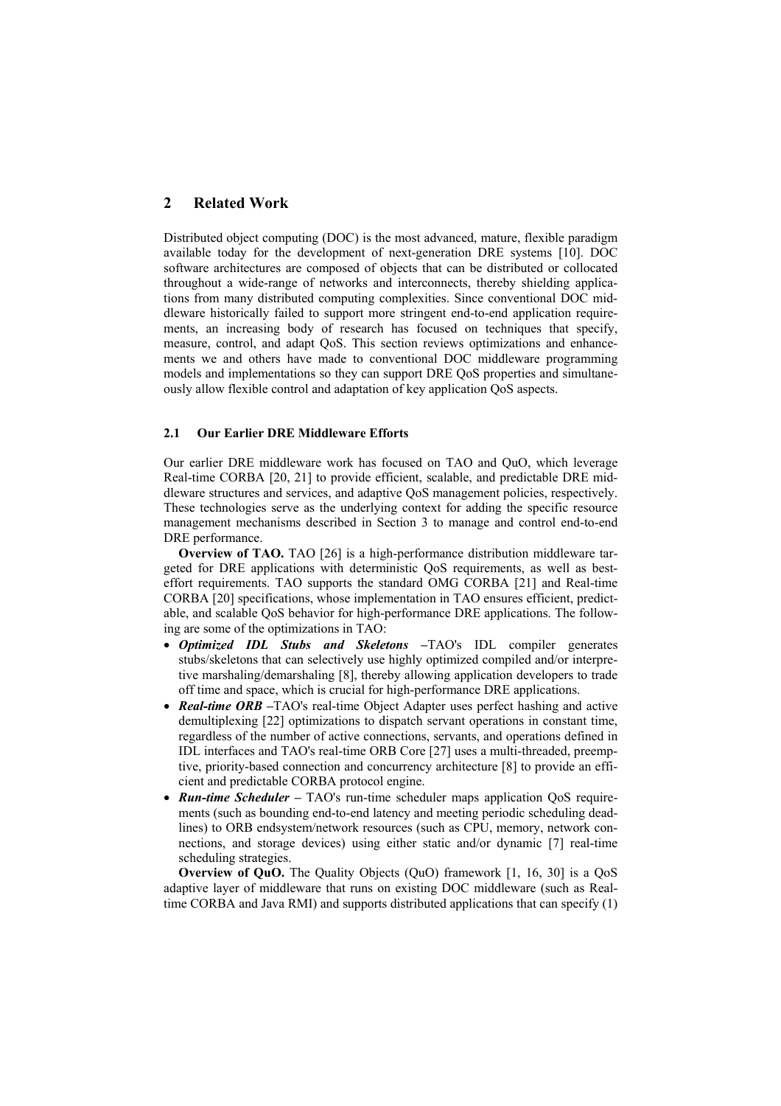### **2 Related Work**

Distributed object computing (DOC) is the most advanced, mature, flexible paradigm available today for the development of next-generation DRE systems [10]. DOC software architectures are composed of objects that can be distributed or collocated throughout a wide-range of networks and interconnects, thereby shielding applications from many distributed computing complexities. Since conventional DOC middleware historically failed to support more stringent end-to-end application requirements, an increasing body of research has focused on techniques that specify, measure, control, and adapt QoS. This section reviews optimizations and enhancements we and others have made to conventional DOC middleware programming models and implementations so they can support DRE QoS properties and simultaneously allow flexible control and adaptation of key application QoS aspects.

### **2.1 Our Earlier DRE Middleware Efforts**

Our earlier DRE middleware work has focused on TAO and QuO, which leverage Real-time CORBA [20, 21] to provide efficient, scalable, and predictable DRE middleware structures and services, and adaptive QoS management policies, respectively. These technologies serve as the underlying context for adding the specific resource management mechanisms described in Section 3 to manage and control end-to-end DRE performance.

**Overview of TAO.** TAO [26] is a high-performance distribution middleware targeted for DRE applications with deterministic QoS requirements, as well as besteffort requirements. TAO supports the standard OMG CORBA [21] and Real-time CORBA [20] specifications, whose implementation in TAO ensures efficient, predictable, and scalable QoS behavior for high-performance DRE applications. The following are some of the optimizations in TAO:

- *Optimized IDL Stubs and Skeletons* **–**TAO's IDL compiler generates stubs/skeletons that can selectively use highly optimized compiled and/or interpretive marshaling/demarshaling [8], thereby allowing application developers to trade off time and space, which is crucial for high-performance DRE applications.
- *Real-time ORB* **–**TAO's real-time Object Adapter uses perfect hashing and active demultiplexing [22] optimizations to dispatch servant operations in constant time, regardless of the number of active connections, servants, and operations defined in IDL interfaces and TAO's real-time ORB Core [27] uses a multi-threaded, preemptive, priority-based connection and concurrency architecture [8] to provide an efficient and predictable CORBA protocol engine.
- *Run-time Scheduler* **–** TAO's run-time scheduler maps application QoS requirements (such as bounding end-to-end latency and meeting periodic scheduling deadlines) to ORB endsystem/network resources (such as CPU, memory, network connections, and storage devices) using either static and/or dynamic [7] real-time scheduling strategies.

**Overview of QuO.** The Quality Objects (QuO) framework [1, 16, 30] is a QoS adaptive layer of middleware that runs on existing DOC middleware (such as Realtime CORBA and Java RMI) and supports distributed applications that can specify (1)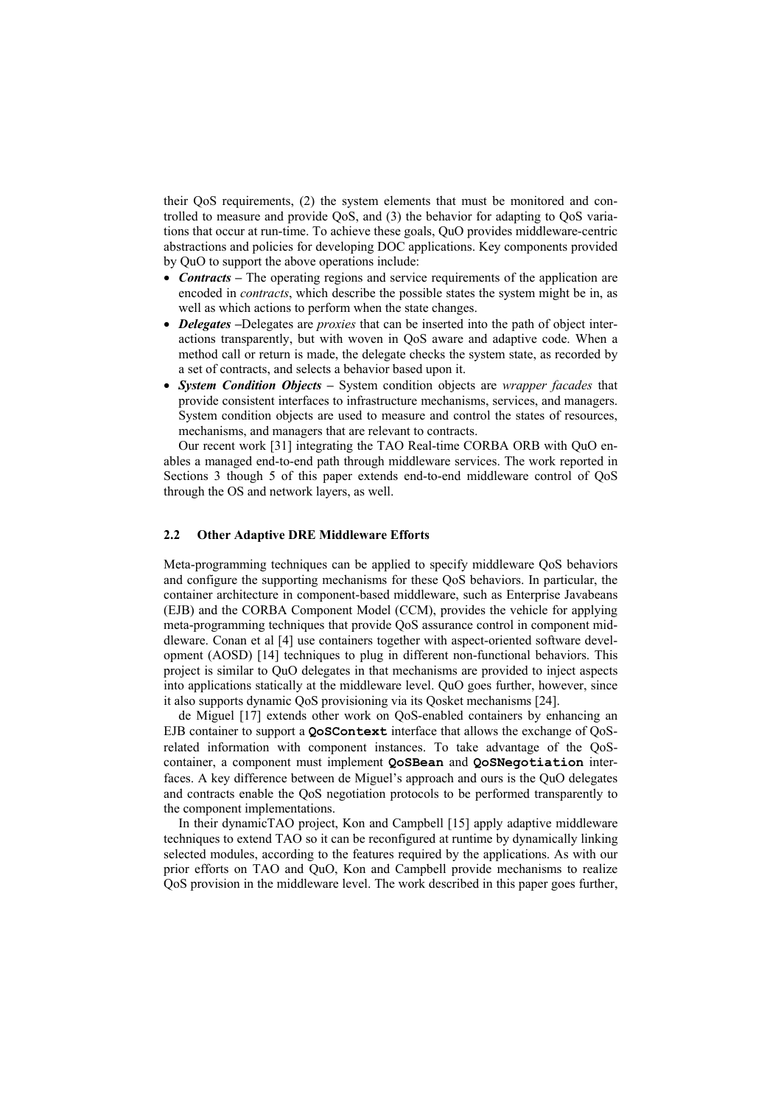their QoS requirements, (2) the system elements that must be monitored and controlled to measure and provide QoS, and (3) the behavior for adapting to QoS variations that occur at run-time. To achieve these goals, QuO provides middleware-centric abstractions and policies for developing DOC applications. Key components provided by QuO to support the above operations include:

- *Contracts* The operating regions and service requirements of the application are encoded in *contracts*, which describe the possible states the system might be in, as well as which actions to perform when the state changes.
- *Delegates* **–**Delegates are *proxies* that can be inserted into the path of object interactions transparently, but with woven in QoS aware and adaptive code. When a method call or return is made, the delegate checks the system state, as recorded by a set of contracts, and selects a behavior based upon it.
- *System Condition Objects* **–** System condition objects are *wrapper facades* that provide consistent interfaces to infrastructure mechanisms, services, and managers. System condition objects are used to measure and control the states of resources, mechanisms, and managers that are relevant to contracts.

Our recent work [31] integrating the TAO Real-time CORBA ORB with QuO enables a managed end-to-end path through middleware services. The work reported in Sections 3 though 5 of this paper extends end-to-end middleware control of QoS through the OS and network layers, as well.

#### **2.2 Other Adaptive DRE Middleware Efforts**

Meta-programming techniques can be applied to specify middleware QoS behaviors and configure the supporting mechanisms for these QoS behaviors. In particular, the container architecture in component-based middleware, such as Enterprise Javabeans (EJB) and the CORBA Component Model (CCM), provides the vehicle for applying meta-programming techniques that provide QoS assurance control in component middleware. Conan et al [4] use containers together with aspect-oriented software development (AOSD) [14] techniques to plug in different non-functional behaviors. This project is similar to QuO delegates in that mechanisms are provided to inject aspects into applications statically at the middleware level. QuO goes further, however, since it also supports dynamic QoS provisioning via its Qosket mechanisms [24].

de Miguel [17] extends other work on QoS-enabled containers by enhancing an EJB container to support a **QoSContext** interface that allows the exchange of QoSrelated information with component instances. To take advantage of the QoScontainer, a component must implement **QoSBean** and **QoSNegotiation** interfaces. A key difference between de Miguel's approach and ours is the QuO delegates and contracts enable the QoS negotiation protocols to be performed transparently to the component implementations.

In their dynamicTAO project, Kon and Campbell [15] apply adaptive middleware techniques to extend TAO so it can be reconfigured at runtime by dynamically linking selected modules, according to the features required by the applications. As with our prior efforts on TAO and QuO, Kon and Campbell provide mechanisms to realize QoS provision in the middleware level. The work described in this paper goes further,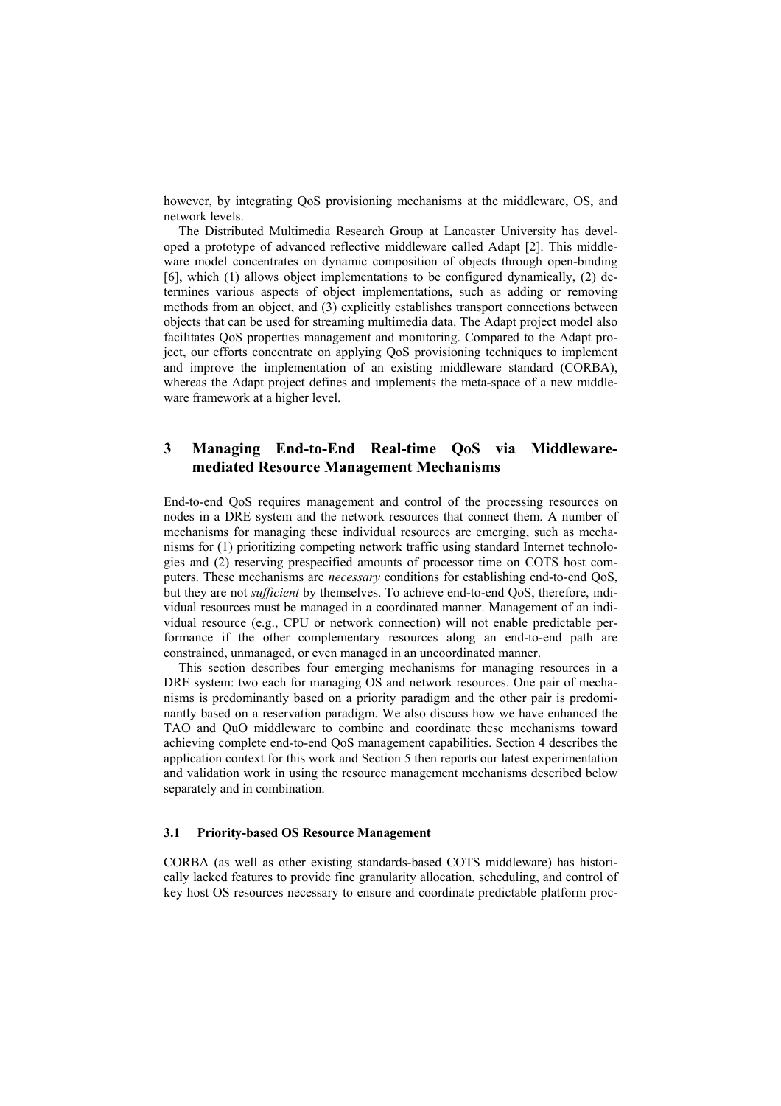however, by integrating QoS provisioning mechanisms at the middleware, OS, and network levels.

The Distributed Multimedia Research Group at Lancaster University has developed a prototype of advanced reflective middleware called Adapt [2]. This middleware model concentrates on dynamic composition of objects through open-binding [6], which (1) allows object implementations to be configured dynamically, (2) determines various aspects of object implementations, such as adding or removing methods from an object, and (3) explicitly establishes transport connections between objects that can be used for streaming multimedia data. The Adapt project model also facilitates QoS properties management and monitoring. Compared to the Adapt project, our efforts concentrate on applying QoS provisioning techniques to implement and improve the implementation of an existing middleware standard (CORBA), whereas the Adapt project defines and implements the meta-space of a new middleware framework at a higher level.

### **3 Managing End-to-End Real-time QoS via Middlewaremediated Resource Management Mechanisms**

End-to-end QoS requires management and control of the processing resources on nodes in a DRE system and the network resources that connect them. A number of mechanisms for managing these individual resources are emerging, such as mechanisms for (1) prioritizing competing network traffic using standard Internet technologies and (2) reserving prespecified amounts of processor time on COTS host computers. These mechanisms are *necessary* conditions for establishing end-to-end QoS, but they are not *sufficient* by themselves. To achieve end-to-end QoS, therefore, individual resources must be managed in a coordinated manner. Management of an individual resource (e.g., CPU or network connection) will not enable predictable performance if the other complementary resources along an end-to-end path are constrained, unmanaged, or even managed in an uncoordinated manner.

This section describes four emerging mechanisms for managing resources in a DRE system: two each for managing OS and network resources. One pair of mechanisms is predominantly based on a priority paradigm and the other pair is predominantly based on a reservation paradigm. We also discuss how we have enhanced the TAO and QuO middleware to combine and coordinate these mechanisms toward achieving complete end-to-end QoS management capabilities. Section 4 describes the application context for this work and Section 5 then reports our latest experimentation and validation work in using the resource management mechanisms described below separately and in combination.

#### **3.1 Priority-based OS Resource Management**

CORBA (as well as other existing standards-based COTS middleware) has historically lacked features to provide fine granularity allocation, scheduling, and control of key host OS resources necessary to ensure and coordinate predictable platform proc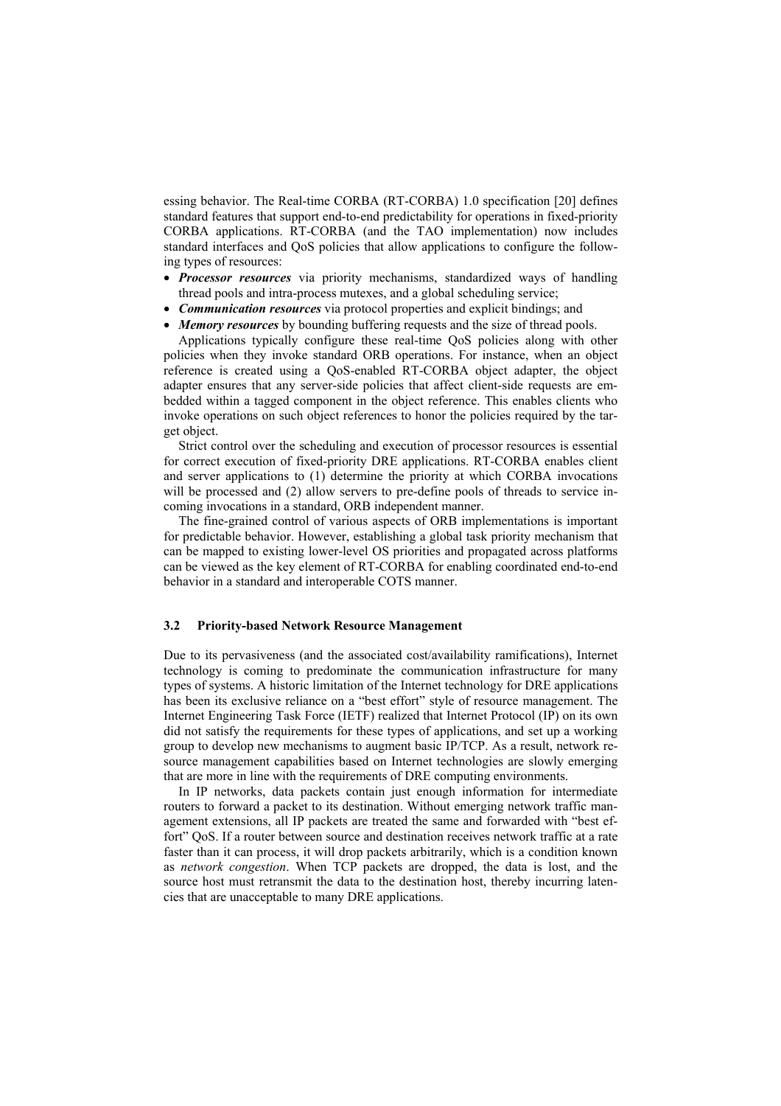essing behavior. The Real-time CORBA (RT-CORBA) 1.0 specification [20] defines standard features that support end-to-end predictability for operations in fixed-priority CORBA applications. RT-CORBA (and the TAO implementation) now includes standard interfaces and QoS policies that allow applications to configure the following types of resources:

- *Processor resources* via priority mechanisms, standardized ways of handling thread pools and intra-process mutexes, and a global scheduling service;
- *Communication resources* via protocol properties and explicit bindings; and
- *Memory resources* by bounding buffering requests and the size of thread pools.

Applications typically configure these real-time QoS policies along with other policies when they invoke standard ORB operations. For instance, when an object reference is created using a QoS-enabled RT-CORBA object adapter, the object adapter ensures that any server-side policies that affect client-side requests are embedded within a tagged component in the object reference. This enables clients who invoke operations on such object references to honor the policies required by the target object.

Strict control over the scheduling and execution of processor resources is essential for correct execution of fixed-priority DRE applications. RT-CORBA enables client and server applications to (1) determine the priority at which CORBA invocations will be processed and (2) allow servers to pre-define pools of threads to service incoming invocations in a standard, ORB independent manner.

The fine-grained control of various aspects of ORB implementations is important for predictable behavior. However, establishing a global task priority mechanism that can be mapped to existing lower-level OS priorities and propagated across platforms can be viewed as the key element of RT-CORBA for enabling coordinated end-to-end behavior in a standard and interoperable COTS manner.

### **3.2 Priority-based Network Resource Management**

Due to its pervasiveness (and the associated cost/availability ramifications), Internet technology is coming to predominate the communication infrastructure for many types of systems. A historic limitation of the Internet technology for DRE applications has been its exclusive reliance on a "best effort" style of resource management. The Internet Engineering Task Force (IETF) realized that Internet Protocol (IP) on its own did not satisfy the requirements for these types of applications, and set up a working group to develop new mechanisms to augment basic IP/TCP. As a result, network resource management capabilities based on Internet technologies are slowly emerging that are more in line with the requirements of DRE computing environments.

In IP networks, data packets contain just enough information for intermediate routers to forward a packet to its destination. Without emerging network traffic management extensions, all IP packets are treated the same and forwarded with "best effort" QoS. If a router between source and destination receives network traffic at a rate faster than it can process, it will drop packets arbitrarily, which is a condition known as *network congestion*. When TCP packets are dropped, the data is lost, and the source host must retransmit the data to the destination host, thereby incurring latencies that are unacceptable to many DRE applications.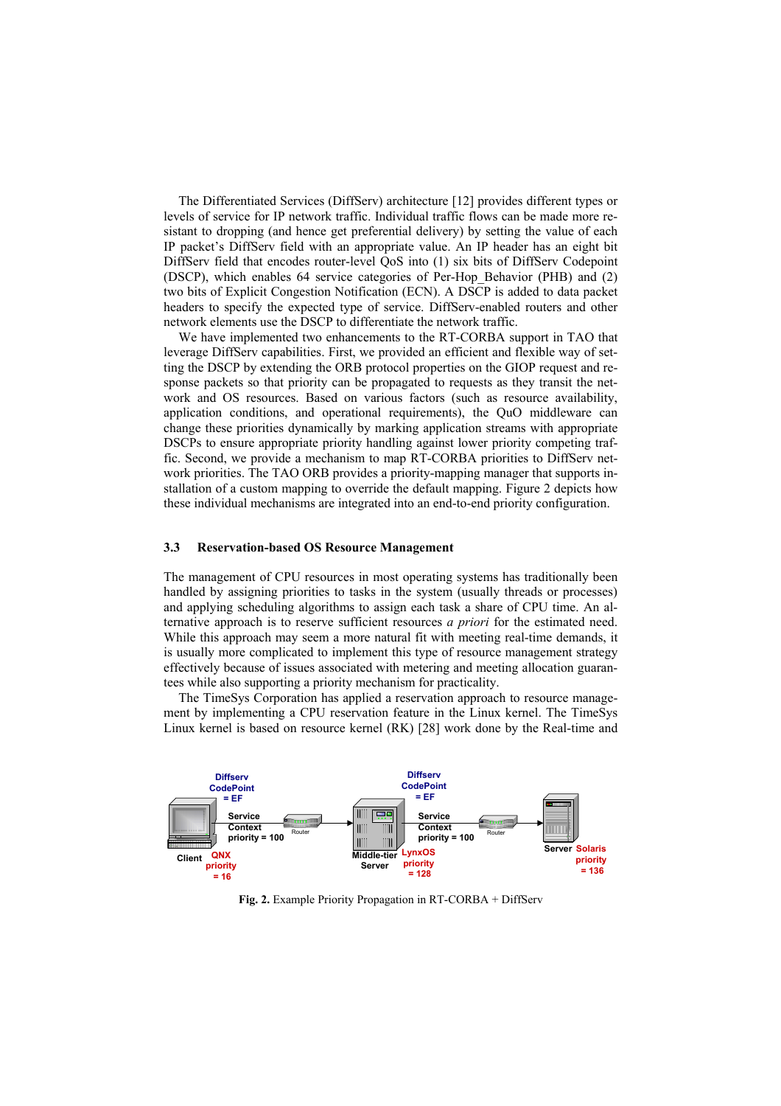The Differentiated Services (DiffServ) architecture [12] provides different types or levels of service for IP network traffic. Individual traffic flows can be made more resistant to dropping (and hence get preferential delivery) by setting the value of each IP packet's DiffServ field with an appropriate value. An IP header has an eight bit DiffServ field that encodes router-level QoS into (1) six bits of DiffServ Codepoint (DSCP), which enables 64 service categories of Per-Hop\_Behavior (PHB) and (2) two bits of Explicit Congestion Notification (ECN). A DSCP is added to data packet headers to specify the expected type of service. DiffServ-enabled routers and other network elements use the DSCP to differentiate the network traffic.

We have implemented two enhancements to the RT-CORBA support in TAO that leverage DiffServ capabilities. First, we provided an efficient and flexible way of setting the DSCP by extending the ORB protocol properties on the GIOP request and response packets so that priority can be propagated to requests as they transit the network and OS resources. Based on various factors (such as resource availability, application conditions, and operational requirements), the QuO middleware can change these priorities dynamically by marking application streams with appropriate DSCPs to ensure appropriate priority handling against lower priority competing traffic. Second, we provide a mechanism to map RT-CORBA priorities to DiffServ network priorities. The TAO ORB provides a priority-mapping manager that supports installation of a custom mapping to override the default mapping. Figure 2 depicts how these individual mechanisms are integrated into an end-to-end priority configuration.

#### **3.3 Reservation-based OS Resource Management**

The management of CPU resources in most operating systems has traditionally been handled by assigning priorities to tasks in the system (usually threads or processes) and applying scheduling algorithms to assign each task a share of CPU time. An alternative approach is to reserve sufficient resources *a priori* for the estimated need. While this approach may seem a more natural fit with meeting real-time demands, it is usually more complicated to implement this type of resource management strategy effectively because of issues associated with metering and meeting allocation guarantees while also supporting a priority mechanism for practicality.

The TimeSys Corporation has applied a reservation approach to resource management by implementing a CPU reservation feature in the Linux kernel. The TimeSys Linux kernel is based on resource kernel (RK) [28] work done by the Real-time and



**Fig. 2.** Example Priority Propagation in RT-CORBA + DiffServ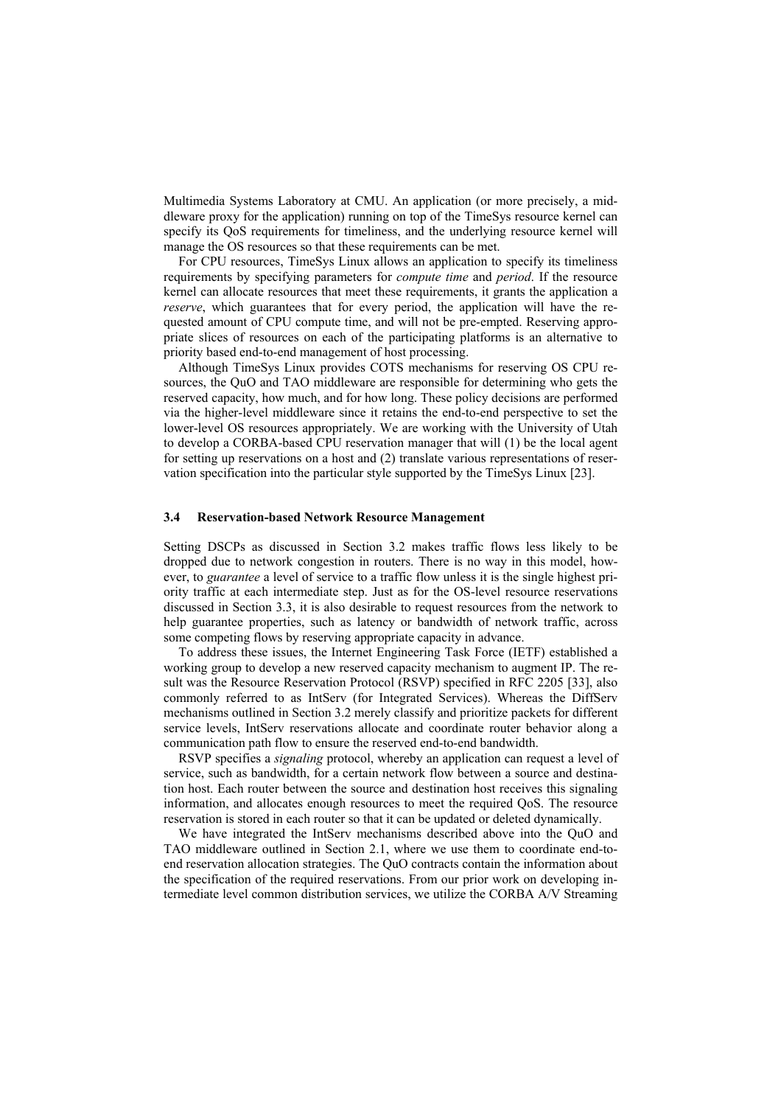Multimedia Systems Laboratory at CMU. An application (or more precisely, a middleware proxy for the application) running on top of the TimeSys resource kernel can specify its QoS requirements for timeliness, and the underlying resource kernel will manage the OS resources so that these requirements can be met.

For CPU resources, TimeSys Linux allows an application to specify its timeliness requirements by specifying parameters for *compute time* and *period*. If the resource kernel can allocate resources that meet these requirements, it grants the application a *reserve*, which guarantees that for every period, the application will have the requested amount of CPU compute time, and will not be pre-empted. Reserving appropriate slices of resources on each of the participating platforms is an alternative to priority based end-to-end management of host processing.

Although TimeSys Linux provides COTS mechanisms for reserving OS CPU resources, the QuO and TAO middleware are responsible for determining who gets the reserved capacity, how much, and for how long. These policy decisions are performed via the higher-level middleware since it retains the end-to-end perspective to set the lower-level OS resources appropriately. We are working with the University of Utah to develop a CORBA-based CPU reservation manager that will (1) be the local agent for setting up reservations on a host and (2) translate various representations of reservation specification into the particular style supported by the TimeSys Linux [23].

#### **3.4 Reservation-based Network Resource Management**

Setting DSCPs as discussed in Section 3.2 makes traffic flows less likely to be dropped due to network congestion in routers. There is no way in this model, however, to *guarantee* a level of service to a traffic flow unless it is the single highest priority traffic at each intermediate step. Just as for the OS-level resource reservations discussed in Section 3.3, it is also desirable to request resources from the network to help guarantee properties, such as latency or bandwidth of network traffic, across some competing flows by reserving appropriate capacity in advance.

To address these issues, the Internet Engineering Task Force (IETF) established a working group to develop a new reserved capacity mechanism to augment IP. The result was the Resource Reservation Protocol (RSVP) specified in RFC 2205 [33], also commonly referred to as IntServ (for Integrated Services). Whereas the DiffServ mechanisms outlined in Section 3.2 merely classify and prioritize packets for different service levels, IntServ reservations allocate and coordinate router behavior along a communication path flow to ensure the reserved end-to-end bandwidth.

RSVP specifies a *signaling* protocol, whereby an application can request a level of service, such as bandwidth, for a certain network flow between a source and destination host. Each router between the source and destination host receives this signaling information, and allocates enough resources to meet the required QoS. The resource reservation is stored in each router so that it can be updated or deleted dynamically.

We have integrated the IntServ mechanisms described above into the QuO and TAO middleware outlined in Section 2.1, where we use them to coordinate end-toend reservation allocation strategies. The QuO contracts contain the information about the specification of the required reservations. From our prior work on developing intermediate level common distribution services, we utilize the CORBA A/V Streaming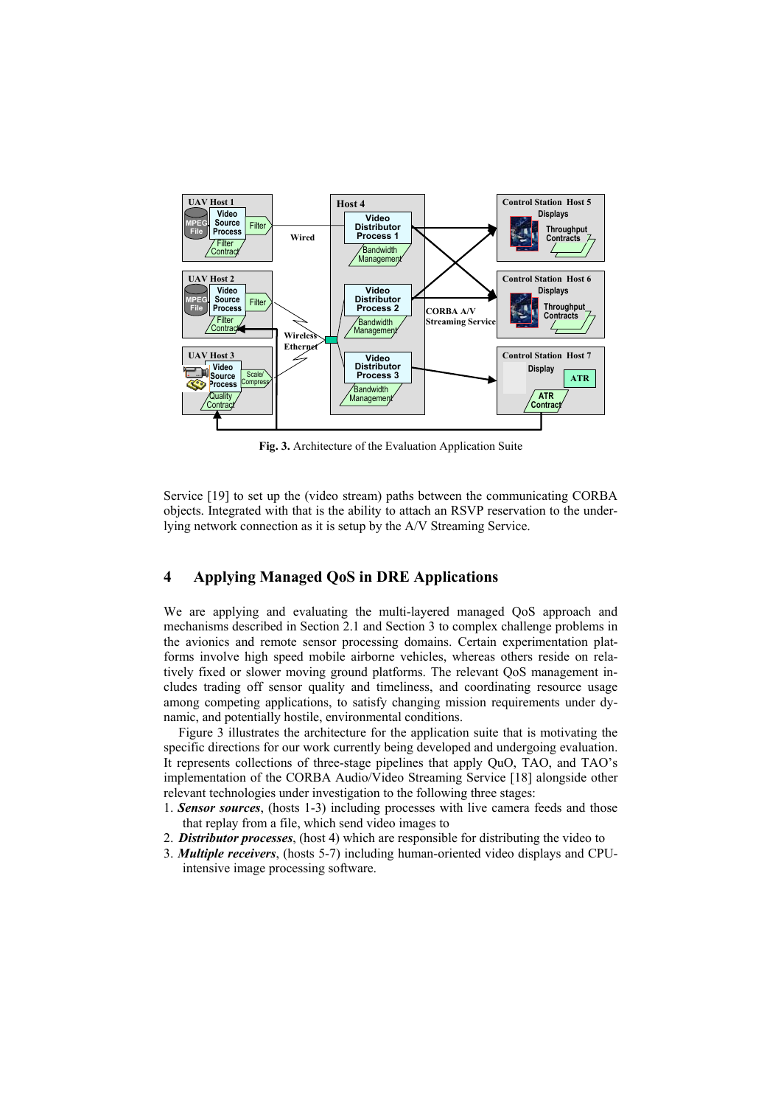

**Fig. 3.** Architecture of the Evaluation Application Suite

Service [19] to set up the (video stream) paths between the communicating CORBA objects. Integrated with that is the ability to attach an RSVP reservation to the underlying network connection as it is setup by the A/V Streaming Service.

# **4 Applying Managed QoS in DRE Applications**

We are applying and evaluating the multi-layered managed QoS approach and mechanisms described in Section 2.1 and Section 3 to complex challenge problems in the avionics and remote sensor processing domains. Certain experimentation platforms involve high speed mobile airborne vehicles, whereas others reside on relatively fixed or slower moving ground platforms. The relevant QoS management includes trading off sensor quality and timeliness, and coordinating resource usage among competing applications, to satisfy changing mission requirements under dynamic, and potentially hostile, environmental conditions.

Figure 3 illustrates the architecture for the application suite that is motivating the specific directions for our work currently being developed and undergoing evaluation. It represents collections of three-stage pipelines that apply QuO, TAO, and TAO's implementation of the CORBA Audio/Video Streaming Service [18] alongside other relevant technologies under investigation to the following three stages:

- 1. *Sensor sources*, (hosts 1-3) including processes with live camera feeds and those that replay from a file, which send video images to
- 2. *Distributor processes*, (host 4) which are responsible for distributing the video to
- 3. *Multiple receivers*, (hosts 5-7) including human-oriented video displays and CPUintensive image processing software.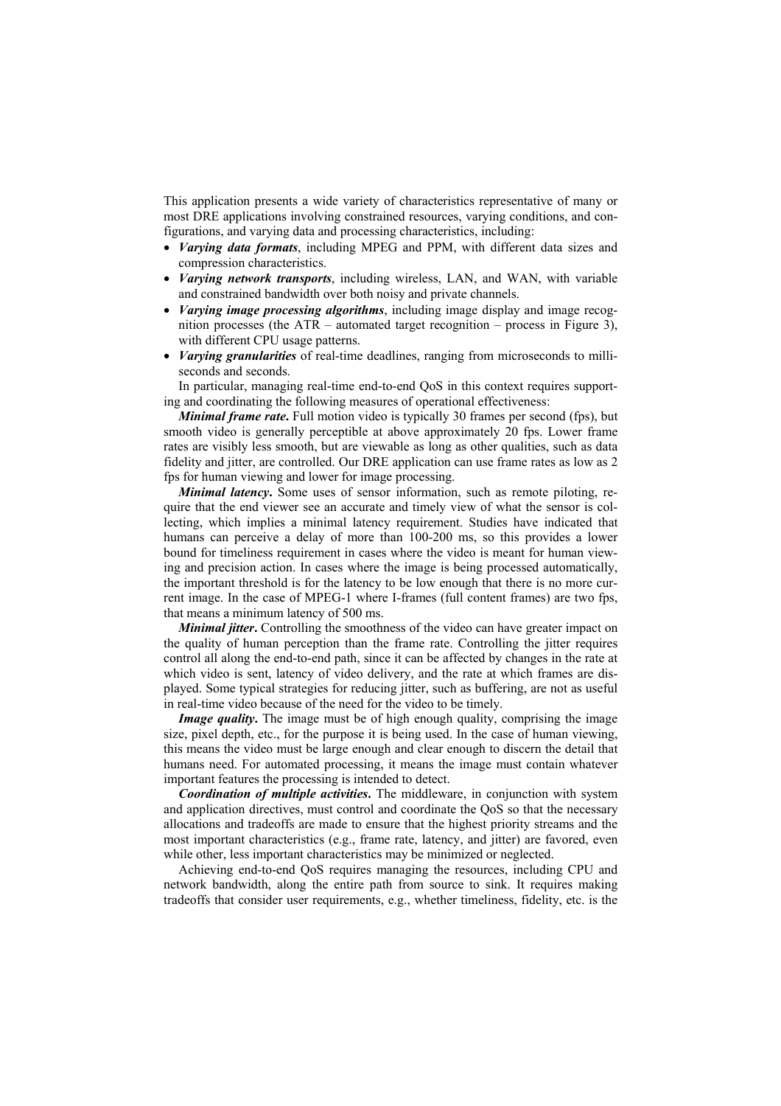This application presents a wide variety of characteristics representative of many or most DRE applications involving constrained resources, varying conditions, and configurations, and varying data and processing characteristics, including:

- *Varying data formats*, including MPEG and PPM, with different data sizes and compression characteristics.
- *Varying network transports*, including wireless, LAN, and WAN, with variable and constrained bandwidth over both noisy and private channels.
- *Varying image processing algorithms*, including image display and image recognition processes (the  $ATR$  – automated target recognition – process in Figure 3), with different CPU usage patterns.
- *Varying granularities* of real-time deadlines, ranging from microseconds to milliseconds and seconds.

In particular, managing real-time end-to-end QoS in this context requires supporting and coordinating the following measures of operational effectiveness:

*Minimal frame rate*. Full motion video is typically 30 frames per second (fps), but smooth video is generally perceptible at above approximately 20 fps. Lower frame rates are visibly less smooth, but are viewable as long as other qualities, such as data fidelity and jitter, are controlled. Our DRE application can use frame rates as low as 2 fps for human viewing and lower for image processing.

*Minimal latency***.** Some uses of sensor information, such as remote piloting, require that the end viewer see an accurate and timely view of what the sensor is collecting, which implies a minimal latency requirement. Studies have indicated that humans can perceive a delay of more than 100-200 ms, so this provides a lower bound for timeliness requirement in cases where the video is meant for human viewing and precision action. In cases where the image is being processed automatically, the important threshold is for the latency to be low enough that there is no more current image. In the case of MPEG-1 where I-frames (full content frames) are two fps, that means a minimum latency of 500 ms.

*Minimal jitter***.** Controlling the smoothness of the video can have greater impact on the quality of human perception than the frame rate. Controlling the jitter requires control all along the end-to-end path, since it can be affected by changes in the rate at which video is sent, latency of video delivery, and the rate at which frames are displayed. Some typical strategies for reducing jitter, such as buffering, are not as useful in real-time video because of the need for the video to be timely.

*Image quality*. The image must be of high enough quality, comprising the image size, pixel depth, etc., for the purpose it is being used. In the case of human viewing, this means the video must be large enough and clear enough to discern the detail that humans need. For automated processing, it means the image must contain whatever important features the processing is intended to detect.

*Coordination of multiple activities***.** The middleware, in conjunction with system and application directives, must control and coordinate the QoS so that the necessary allocations and tradeoffs are made to ensure that the highest priority streams and the most important characteristics (e.g., frame rate, latency, and jitter) are favored, even while other, less important characteristics may be minimized or neglected.

Achieving end-to-end QoS requires managing the resources, including CPU and network bandwidth, along the entire path from source to sink. It requires making tradeoffs that consider user requirements, e.g., whether timeliness, fidelity, etc. is the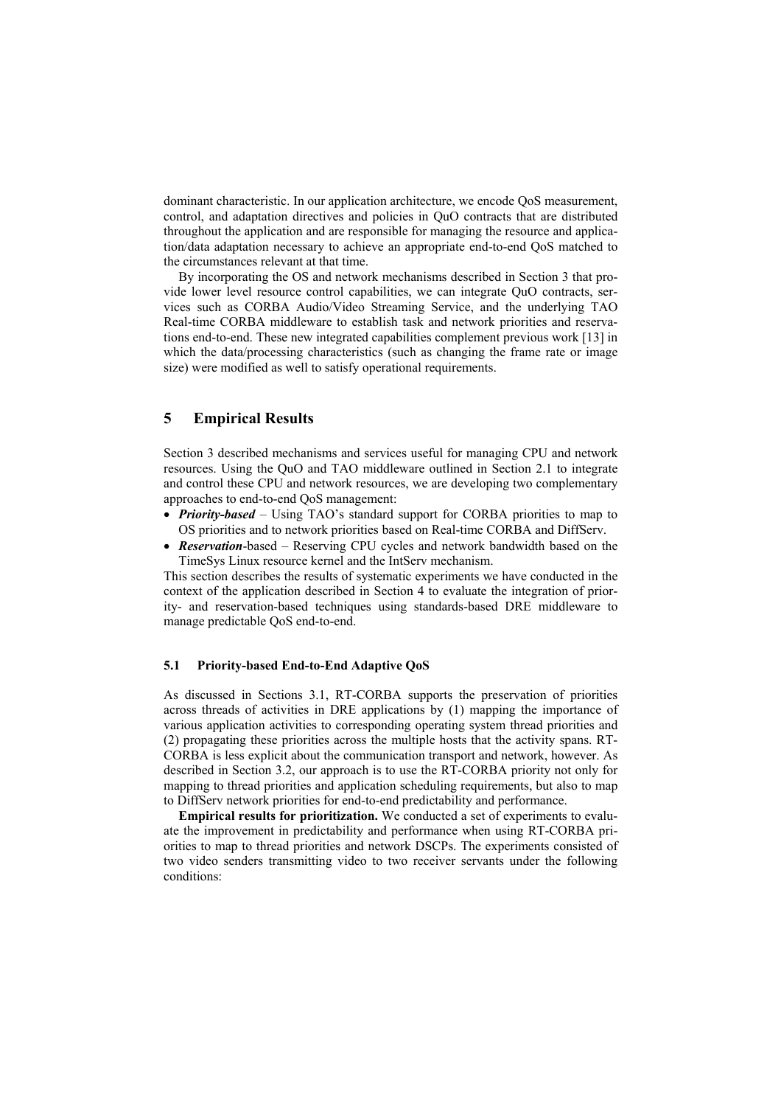dominant characteristic. In our application architecture, we encode QoS measurement, control, and adaptation directives and policies in QuO contracts that are distributed throughout the application and are responsible for managing the resource and application/data adaptation necessary to achieve an appropriate end-to-end QoS matched to the circumstances relevant at that time.

By incorporating the OS and network mechanisms described in Section 3 that provide lower level resource control capabilities, we can integrate QuO contracts, services such as CORBA Audio/Video Streaming Service, and the underlying TAO Real-time CORBA middleware to establish task and network priorities and reservations end-to-end. These new integrated capabilities complement previous work [13] in which the data/processing characteristics (such as changing the frame rate or image size) were modified as well to satisfy operational requirements.

# **5 Empirical Results**

Section 3 described mechanisms and services useful for managing CPU and network resources. Using the QuO and TAO middleware outlined in Section 2.1 to integrate and control these CPU and network resources, we are developing two complementary approaches to end-to-end QoS management:

- *Priority-based* Using TAO's standard support for CORBA priorities to map to OS priorities and to network priorities based on Real-time CORBA and DiffServ.
- *Reservation*-basedReserving CPU cycles and network bandwidth based on the TimeSys Linux resource kernel and the IntServ mechanism.

This section describes the results of systematic experiments we have conducted in the context of the application described in Section 4 to evaluate the integration of priority- and reservation-based techniques using standards-based DRE middleware to manage predictable QoS end-to-end.

#### **5.1 Priority-based End-to-End Adaptive QoS**

As discussed in Sections 3.1, RT-CORBA supports the preservation of priorities across threads of activities in DRE applications by (1) mapping the importance of various application activities to corresponding operating system thread priorities and (2) propagating these priorities across the multiple hosts that the activity spans. RT-CORBA is less explicit about the communication transport and network, however. As described in Section 3.2, our approach is to use the RT-CORBA priority not only for mapping to thread priorities and application scheduling requirements, but also to map to DiffServ network priorities for end-to-end predictability and performance.

**Empirical results for prioritization.** We conducted a set of experiments to evaluate the improvement in predictability and performance when using RT-CORBA priorities to map to thread priorities and network DSCPs. The experiments consisted of two video senders transmitting video to two receiver servants under the following conditions: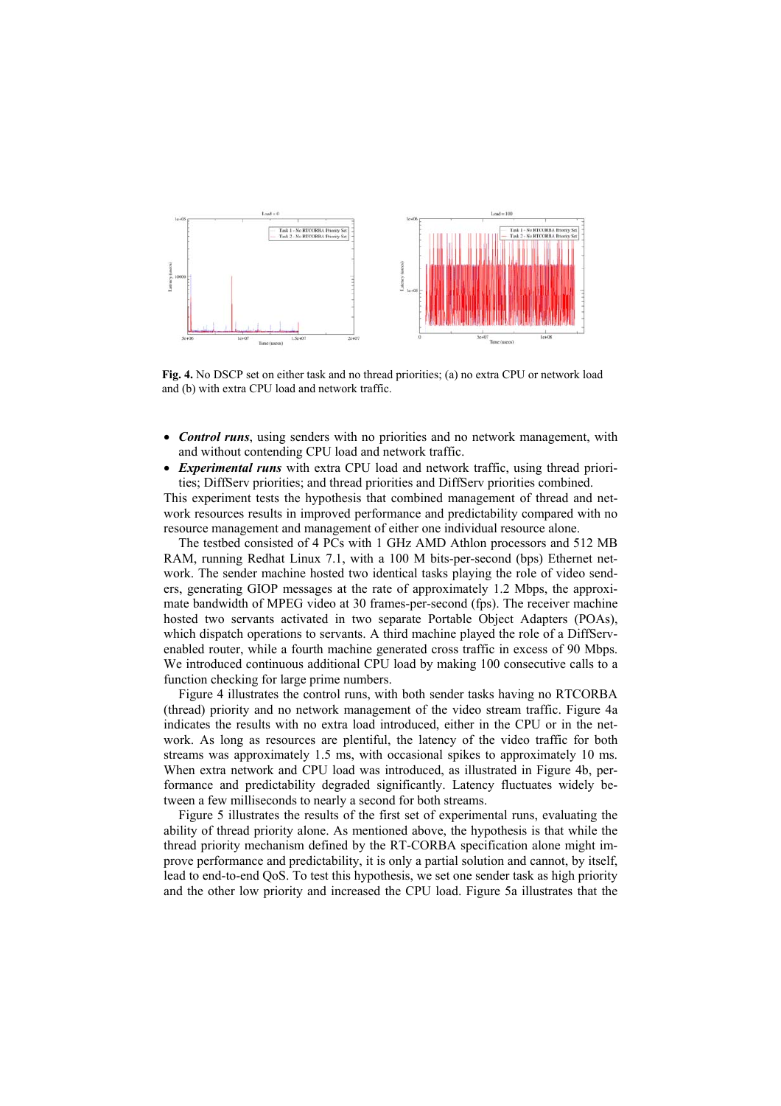

**Fig. 4.** No DSCP set on either task and no thread priorities; (a) no extra CPU or network load and (b) with extra CPU load and network traffic.

- *Control runs*, using senders with no priorities and no network management, with and without contending CPU load and network traffic.
- *Experimental runs* with extra CPU load and network traffic, using thread priorities; DiffServ priorities; and thread priorities and DiffServ priorities combined.

This experiment tests the hypothesis that combined management of thread and network resources results in improved performance and predictability compared with no resource management and management of either one individual resource alone.

The testbed consisted of 4 PCs with 1 GHz AMD Athlon processors and 512 MB RAM, running Redhat Linux 7.1, with a 100 M bits-per-second (bps) Ethernet network. The sender machine hosted two identical tasks playing the role of video senders, generating GIOP messages at the rate of approximately 1.2 Mbps, the approximate bandwidth of MPEG video at 30 frames-per-second (fps). The receiver machine hosted two servants activated in two separate Portable Object Adapters (POAs), which dispatch operations to servants. A third machine played the role of a DiffServenabled router, while a fourth machine generated cross traffic in excess of 90 Mbps. We introduced continuous additional CPU load by making 100 consecutive calls to a function checking for large prime numbers.

Figure 4 illustrates the control runs, with both sender tasks having no RTCORBA (thread) priority and no network management of the video stream traffic. Figure 4a indicates the results with no extra load introduced, either in the CPU or in the network. As long as resources are plentiful, the latency of the video traffic for both streams was approximately 1.5 ms, with occasional spikes to approximately 10 ms. When extra network and CPU load was introduced, as illustrated in Figure 4b, performance and predictability degraded significantly. Latency fluctuates widely between a few milliseconds to nearly a second for both streams.

Figure 5 illustrates the results of the first set of experimental runs, evaluating the ability of thread priority alone. As mentioned above, the hypothesis is that while the thread priority mechanism defined by the RT-CORBA specification alone might improve performance and predictability, it is only a partial solution and cannot, by itself, lead to end-to-end QoS. To test this hypothesis, we set one sender task as high priority and the other low priority and increased the CPU load. Figure 5a illustrates that the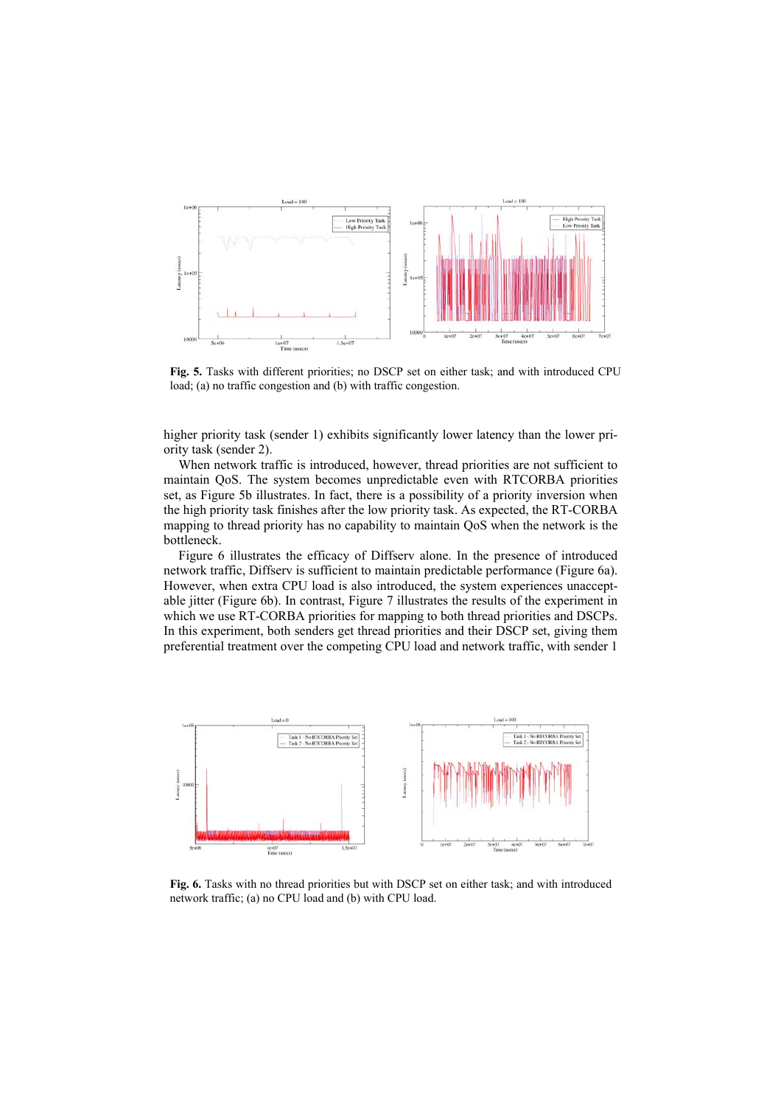

**Fig. 5.** Tasks with different priorities; no DSCP set on either task; and with introduced CPU load; (a) no traffic congestion and (b) with traffic congestion.

higher priority task (sender 1) exhibits significantly lower latency than the lower priority task (sender 2).

When network traffic is introduced, however, thread priorities are not sufficient to maintain QoS. The system becomes unpredictable even with RTCORBA priorities set, as Figure 5b illustrates. In fact, there is a possibility of a priority inversion when the high priority task finishes after the low priority task. As expected, the RT-CORBA mapping to thread priority has no capability to maintain QoS when the network is the bottleneck.

Figure 6 illustrates the efficacy of Diffserv alone. In the presence of introduced network traffic, Diffserv is sufficient to maintain predictable performance (Figure 6a). However, when extra CPU load is also introduced, the system experiences unacceptable jitter (Figure 6b). In contrast, Figure 7 illustrates the results of the experiment in which we use RT-CORBA priorities for mapping to both thread priorities and DSCPs. In this experiment, both senders get thread priorities and their DSCP set, giving them preferential treatment over the competing CPU load and network traffic, with sender 1



**Fig. 6.** Tasks with no thread priorities but with DSCP set on either task; and with introduced network traffic; (a) no CPU load and (b) with CPU load.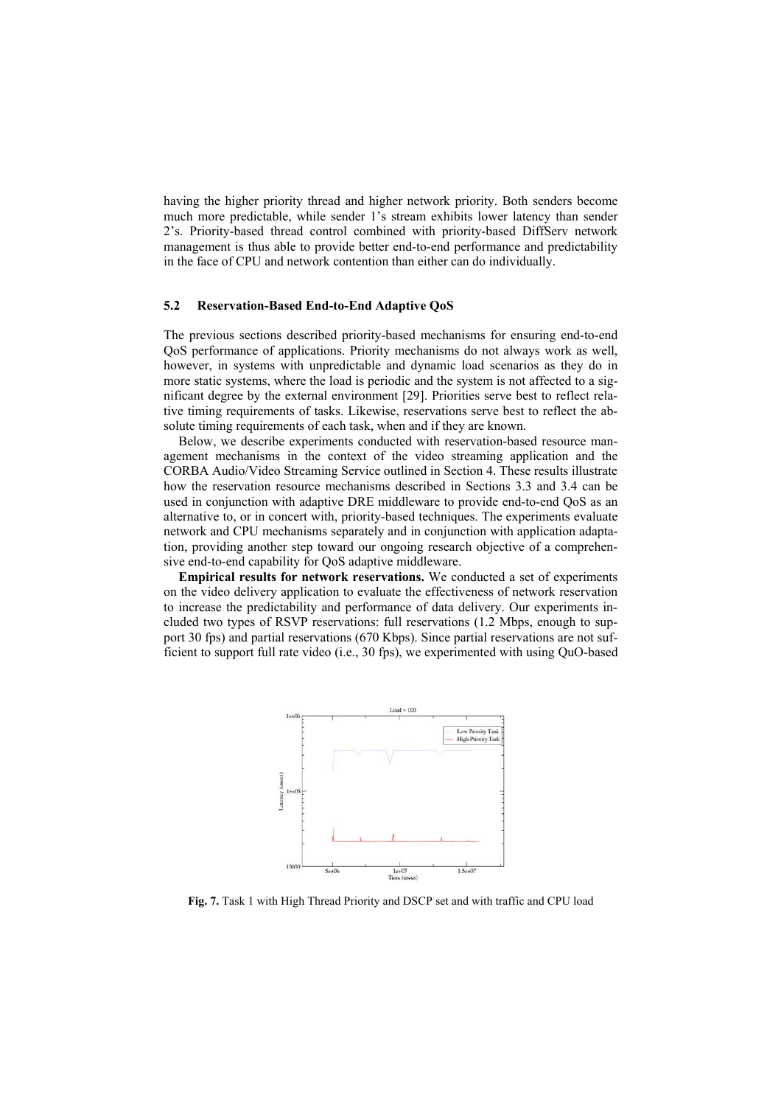having the higher priority thread and higher network priority. Both senders become much more predictable, while sender 1's stream exhibits lower latency than sender 2's. Priority-based thread control combined with priority-based DiffServ network management is thus able to provide better end-to-end performance and predictability in the face of CPU and network contention than either can do individually.

#### **5.2 Reservation-Based End-to-End Adaptive QoS**

The previous sections described priority-based mechanisms for ensuring end-to-end QoS performance of applications. Priority mechanisms do not always work as well, however, in systems with unpredictable and dynamic load scenarios as they do in more static systems, where the load is periodic and the system is not affected to a significant degree by the external environment [29]. Priorities serve best to reflect relative timing requirements of tasks. Likewise, reservations serve best to reflect the absolute timing requirements of each task, when and if they are known.

Below, we describe experiments conducted with reservation-based resource management mechanisms in the context of the video streaming application and the CORBA Audio/Video Streaming Service outlined in Section 4. These results illustrate how the reservation resource mechanisms described in Sections 3.3 and 3.4 can be used in conjunction with adaptive DRE middleware to provide end-to-end QoS as an alternative to, or in concert with, priority-based techniques. The experiments evaluate network and CPU mechanisms separately and in conjunction with application adaptation, providing another step toward our ongoing research objective of a comprehensive end-to-end capability for QoS adaptive middleware.

**Empirical results for network reservations.** We conducted a set of experiments on the video delivery application to evaluate the effectiveness of network reservation to increase the predictability and performance of data delivery. Our experiments included two types of RSVP reservations: full reservations (1.2 Mbps, enough to support 30 fps) and partial reservations (670 Kbps). Since partial reservations are not sufficient to support full rate video (i.e., 30 fps), we experimented with using QuO-based



**Fig. 7.** Task 1 with High Thread Priority and DSCP set and with traffic and CPU load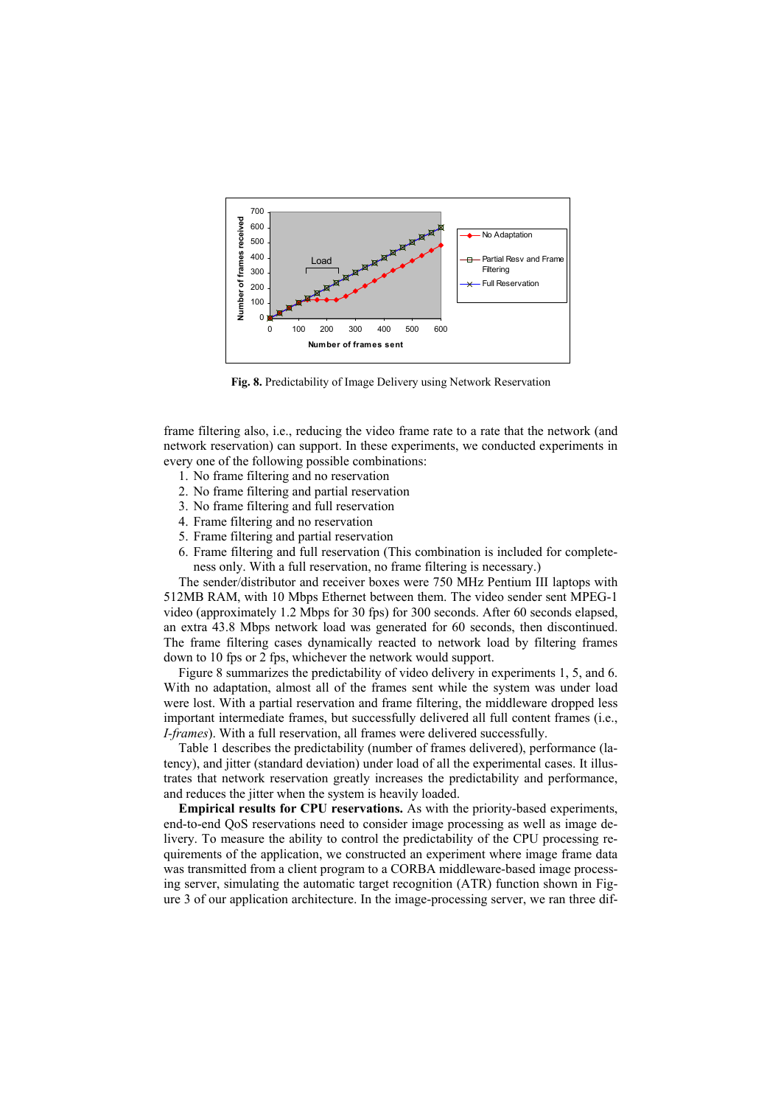

**Fig. 8.** Predictability of Image Delivery using Network Reservation

frame filtering also, i.e., reducing the video frame rate to a rate that the network (and network reservation) can support. In these experiments, we conducted experiments in every one of the following possible combinations:

- 1. No frame filtering and no reservation
- 2. No frame filtering and partial reservation
- 3. No frame filtering and full reservation
- 4. Frame filtering and no reservation
- 5. Frame filtering and partial reservation
- 6. Frame filtering and full reservation (This combination is included for completeness only. With a full reservation, no frame filtering is necessary.)

The sender/distributor and receiver boxes were 750 MHz Pentium III laptops with 512MB RAM, with 10 Mbps Ethernet between them. The video sender sent MPEG-1 video (approximately 1.2 Mbps for 30 fps) for 300 seconds. After 60 seconds elapsed, an extra 43.8 Mbps network load was generated for 60 seconds, then discontinued. The frame filtering cases dynamically reacted to network load by filtering frames down to 10 fps or 2 fps, whichever the network would support.

Figure 8 summarizes the predictability of video delivery in experiments 1, 5, and 6. With no adaptation, almost all of the frames sent while the system was under load were lost. With a partial reservation and frame filtering, the middleware dropped less important intermediate frames, but successfully delivered all full content frames (i.e., *I-frames*). With a full reservation, all frames were delivered successfully.

Table 1 describes the predictability (number of frames delivered), performance (latency), and jitter (standard deviation) under load of all the experimental cases. It illustrates that network reservation greatly increases the predictability and performance, and reduces the jitter when the system is heavily loaded.

**Empirical results for CPU reservations.** As with the priority-based experiments, end-to-end QoS reservations need to consider image processing as well as image delivery. To measure the ability to control the predictability of the CPU processing requirements of the application, we constructed an experiment where image frame data was transmitted from a client program to a CORBA middleware-based image processing server, simulating the automatic target recognition (ATR) function shown in Figure 3 of our application architecture. In the image-processing server, we ran three dif-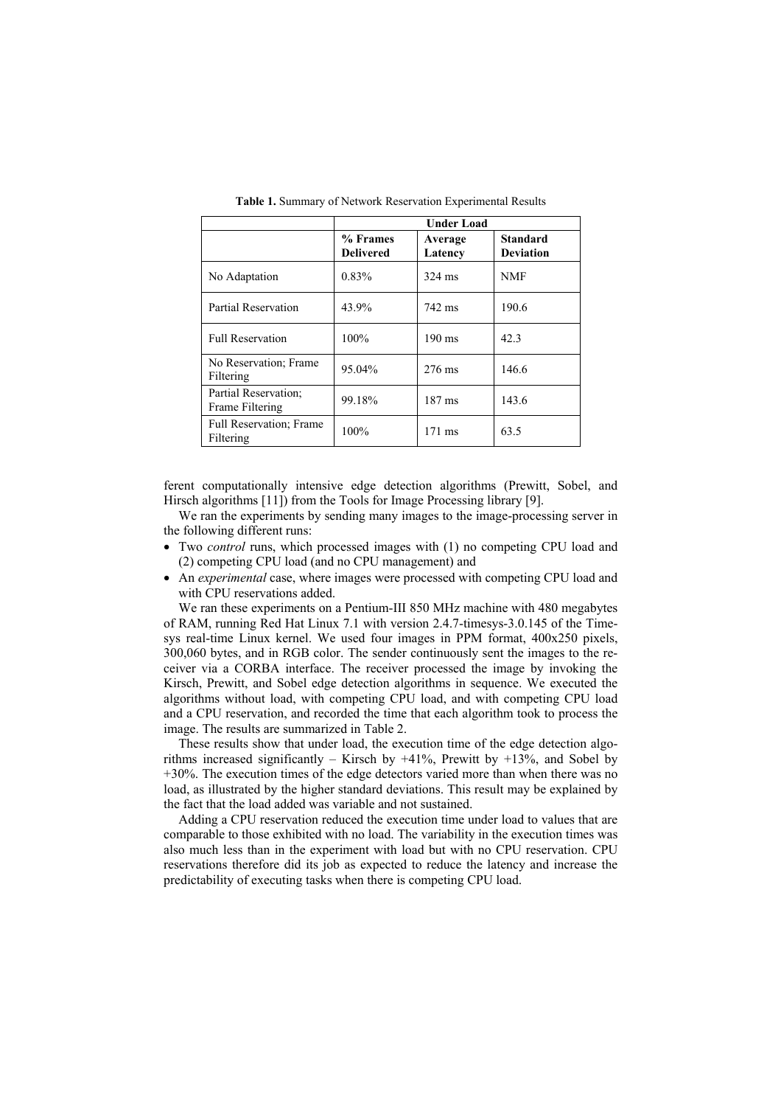|                                         | <b>Under Load</b>            |                    |                                     |  |  |
|-----------------------------------------|------------------------------|--------------------|-------------------------------------|--|--|
|                                         | % Frames<br><b>Delivered</b> | Average<br>Latency | <b>Standard</b><br><b>Deviation</b> |  |  |
| No Adaptation                           | 0.83%                        | $324 \text{ ms}$   | <b>NMF</b>                          |  |  |
| Partial Reservation                     | 43.9%                        | 742 ms             | 190.6                               |  |  |
| <b>Full Reservation</b>                 | 100%                         | $190 \text{ ms}$   | 42.3                                |  |  |
| No Reservation; Frame<br>Filtering      | 95.04%                       | $276$ ms           | 146.6                               |  |  |
| Partial Reservation;<br>Frame Filtering | 99.18%                       | $187 \text{ ms}$   | 143.6                               |  |  |
| Full Reservation; Frame<br>Filtering    | 100%                         | 171 ms             | 63.5                                |  |  |

**Table 1.** Summary of Network Reservation Experimental Results

ferent computationally intensive edge detection algorithms (Prewitt, Sobel, and Hirsch algorithms [11]) from the Tools for Image Processing library [9].

We ran the experiments by sending many images to the image-processing server in the following different runs:

- Two *control* runs, which processed images with (1) no competing CPU load and (2) competing CPU load (and no CPU management) and
- An *experimental* case, where images were processed with competing CPU load and with CPU reservations added.

We ran these experiments on a Pentium-III 850 MHz machine with 480 megabytes of RAM, running Red Hat Linux 7.1 with version 2.4.7-timesys-3.0.145 of the Timesys real-time Linux kernel. We used four images in PPM format, 400x250 pixels, 300,060 bytes, and in RGB color. The sender continuously sent the images to the receiver via a CORBA interface. The receiver processed the image by invoking the Kirsch, Prewitt, and Sobel edge detection algorithms in sequence. We executed the algorithms without load, with competing CPU load, and with competing CPU load and a CPU reservation, and recorded the time that each algorithm took to process the image. The results are summarized in Table 2.

These results show that under load, the execution time of the edge detection algorithms increased significantly – Kirsch by  $+41\%$ , Prewitt by  $+13\%$ , and Sobel by +30%. The execution times of the edge detectors varied more than when there was no load, as illustrated by the higher standard deviations. This result may be explained by the fact that the load added was variable and not sustained.

Adding a CPU reservation reduced the execution time under load to values that are comparable to those exhibited with no load. The variability in the execution times was also much less than in the experiment with load but with no CPU reservation. CPU reservations therefore did its job as expected to reduce the latency and increase the predictability of executing tasks when there is competing CPU load.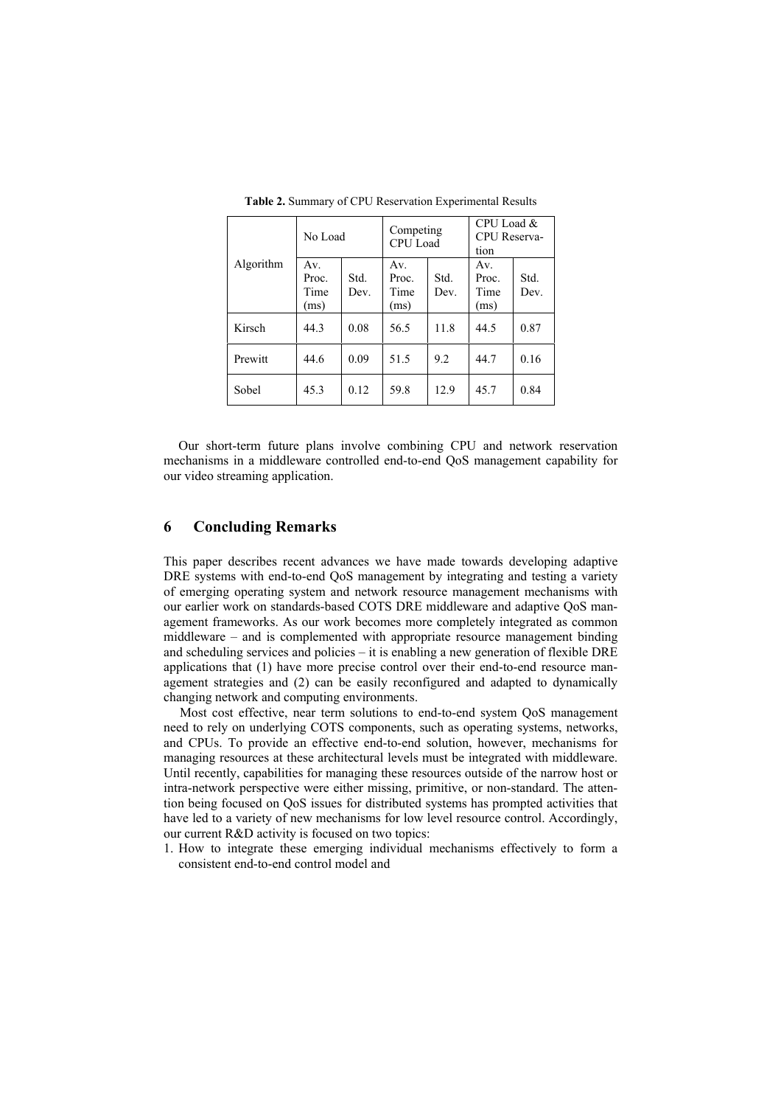| Algorithm | No Load                           |              | Competing<br>CPU Load        |              | CPU Load &<br><b>CPU</b> Reserva-<br>tion |              |
|-----------|-----------------------------------|--------------|------------------------------|--------------|-------------------------------------------|--------------|
|           | $Av_{-}$<br>Proc.<br>Time<br>(ms) | Std.<br>Dev. | Av.<br>Proc.<br>Time<br>(ms) | Std.<br>Dev. | Av.<br>Proc.<br>Time<br>(ms)              | Std.<br>Dev. |
| Kirsch    | 44.3                              | 0.08         | 56.5                         | 11.8         | 44.5                                      | 0.87         |
| Prewitt   | 44.6                              | 0.09         | 51.5                         | 9.2          | 44.7                                      | 0.16         |
| Sobel     | 45.3                              | 0.12         | 59.8                         | 12.9         | 45.7                                      | 0.84         |

**Table 2.** Summary of CPU Reservation Experimental Results

Our short-term future plans involve combining CPU and network reservation mechanisms in a middleware controlled end-to-end QoS management capability for our video streaming application.

# **6 Concluding Remarks**

This paper describes recent advances we have made towards developing adaptive DRE systems with end-to-end QoS management by integrating and testing a variety of emerging operating system and network resource management mechanisms with our earlier work on standards-based COTS DRE middleware and adaptive QoS management frameworks. As our work becomes more completely integrated as common middleware – and is complemented with appropriate resource management binding and scheduling services and policies – it is enabling a new generation of flexible DRE applications that (1) have more precise control over their end-to-end resource management strategies and (2) can be easily reconfigured and adapted to dynamically changing network and computing environments.

Most cost effective, near term solutions to end-to-end system QoS management need to rely on underlying COTS components, such as operating systems, networks, and CPUs. To provide an effective end-to-end solution, however, mechanisms for managing resources at these architectural levels must be integrated with middleware. Until recently, capabilities for managing these resources outside of the narrow host or intra-network perspective were either missing, primitive, or non-standard. The attention being focused on QoS issues for distributed systems has prompted activities that have led to a variety of new mechanisms for low level resource control. Accordingly, our current R&D activity is focused on two topics:

1. How to integrate these emerging individual mechanisms effectively to form a consistent end-to-end control model and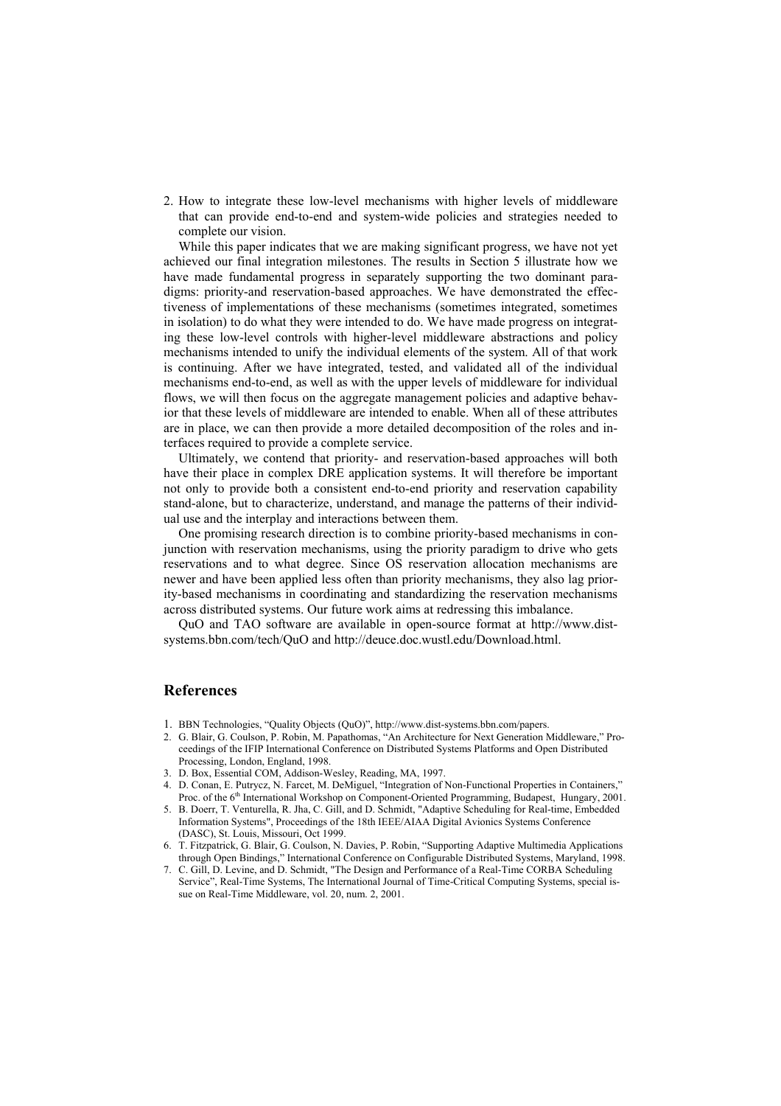2. How to integrate these low-level mechanisms with higher levels of middleware that can provide end-to-end and system-wide policies and strategies needed to complete our vision.

While this paper indicates that we are making significant progress, we have not yet achieved our final integration milestones. The results in Section 5 illustrate how we have made fundamental progress in separately supporting the two dominant paradigms: priority-and reservation-based approaches. We have demonstrated the effectiveness of implementations of these mechanisms (sometimes integrated, sometimes in isolation) to do what they were intended to do. We have made progress on integrating these low-level controls with higher-level middleware abstractions and policy mechanisms intended to unify the individual elements of the system. All of that work is continuing. After we have integrated, tested, and validated all of the individual mechanisms end-to-end, as well as with the upper levels of middleware for individual flows, we will then focus on the aggregate management policies and adaptive behavior that these levels of middleware are intended to enable. When all of these attributes are in place, we can then provide a more detailed decomposition of the roles and interfaces required to provide a complete service.

Ultimately, we contend that priority- and reservation-based approaches will both have their place in complex DRE application systems. It will therefore be important not only to provide both a consistent end-to-end priority and reservation capability stand-alone, but to characterize, understand, and manage the patterns of their individual use and the interplay and interactions between them.

One promising research direction is to combine priority-based mechanisms in conjunction with reservation mechanisms, using the priority paradigm to drive who gets reservations and to what degree. Since OS reservation allocation mechanisms are newer and have been applied less often than priority mechanisms, they also lag priority-based mechanisms in coordinating and standardizing the reservation mechanisms across distributed systems. Our future work aims at redressing this imbalance.

QuO and TAO software are available in open-source format at http://www.distsystems.bbn.com/tech/QuO and http://deuce.doc.wustl.edu/Download.html.

### **References**

- 1. BBN Technologies, "Quality Objects (QuO)", http://www.dist-systems.bbn.com/papers.
- 2. G. Blair, G. Coulson, P. Robin, M. Papathomas, "An Architecture for Next Generation Middleware," Proceedings of the IFIP International Conference on Distributed Systems Platforms and Open Distributed Processing, London, England, 1998.
- 3. D. Box, Essential COM, Addison-Wesley, Reading, MA, 1997.
- 4. D. Conan, E. Putrycz, N. Farcet, M. DeMiguel, "Integration of Non-Functional Properties in Containers," Proc. of the 6<sup>th</sup> International Workshop on Component-Oriented Programming, Budapest, Hungary, 2001.
- 5. B. Doerr, T. Venturella, R. Jha, C. Gill, and D. Schmidt, "Adaptive Scheduling for Real-time, Embedded Information Systems", Proceedings of the 18th IEEE/AIAA Digital Avionics Systems Conference (DASC), St. Louis, Missouri, Oct 1999.
- 6. T. Fitzpatrick, G. Blair, G. Coulson, N. Davies, P. Robin, "Supporting Adaptive Multimedia Applications through Open Bindings," International Conference on Configurable Distributed Systems, Maryland, 1998.
- 7. C. Gill, D. Levine, and D. Schmidt, "The Design and Performance of a Real-Time CORBA Scheduling Service", Real-Time Systems, The International Journal of Time-Critical Computing Systems, special issue on Real-Time Middleware, vol. 20, num. 2, 2001.